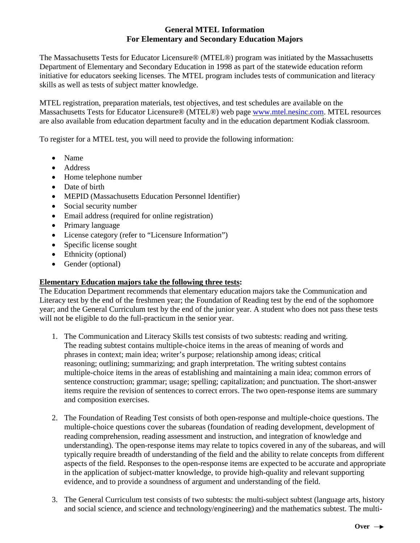## **General MTEL Information For Elementary and Secondary Education Majors**

The Massachusetts Tests for Educator Licensure® (MTEL®) program was initiated by the Massachusetts Department of Elementary and Secondary Education in 1998 as part of the statewide education reform initiative for educators seeking licenses. The MTEL program includes tests of communication and literacy skills as well as tests of subject matter knowledge.

MTEL registration, preparation materials, test objectives, and test schedules are available on the Massachusetts Tests for Educator Licensure® (MTEL®) web page [www.mtel.nesinc.com.](http://www.mtel.nesinc.com/) MTEL resources are also available from education department faculty and in the education department Kodiak classroom.

To register for a MTEL test, you will need to provide the following information:

- Name
- Address
- Home telephone number
- Date of birth
- MEPID (Massachusetts Education Personnel Identifier)
- Social security number
- Email address (required for online registration)
- Primary language
- License category (refer to "Licensure Information")
- Specific license sought
- Ethnicity (optional)
- Gender (optional)

## **Elementary Education majors take the following three tests:**

The Education Department recommends that elementary education majors take the Communication and Literacy test by the end of the freshmen year; the Foundation of Reading test by the end of the sophomore year; and the General Curriculum test by the end of the junior year. A student who does not pass these tests will not be eligible to do the full-practicum in the senior year.

- 1. The Communication and Literacy Skills test consists of two subtests: reading and writing. The reading subtest contains multiple-choice items in the areas of meaning of words and phrases in context; main idea; writer's purpose; relationship among ideas; critical reasoning; outlining; summarizing; and graph interpretation. The writing subtest contains multiple-choice items in the areas of establishing and maintaining a main idea; common errors of sentence construction; grammar; usage; spelling; capitalization; and punctuation. The short-answer items require the revision of sentences to correct errors. The two open-response items are summary and composition exercises.
- 2. The Foundation of Reading Test consists of both open-response and multiple-choice questions. The multiple-choice questions cover the subareas (foundation of reading development, development of reading comprehension, reading assessment and instruction, and integration of knowledge and understanding). The open-response items may relate to topics covered in any of the subareas, and will typically require breadth of understanding of the field and the ability to relate concepts from different aspects of the field. Responses to the open-response items are expected to be accurate and appropriate in the application of subject-matter knowledge, to provide high-quality and relevant supporting evidence, and to provide a soundness of argument and understanding of the field.
- 3. The General Curriculum test consists of two subtests: the multi-subject subtest (language arts, history and social science, and science and technology/engineering) and the mathematics subtest. The multi-